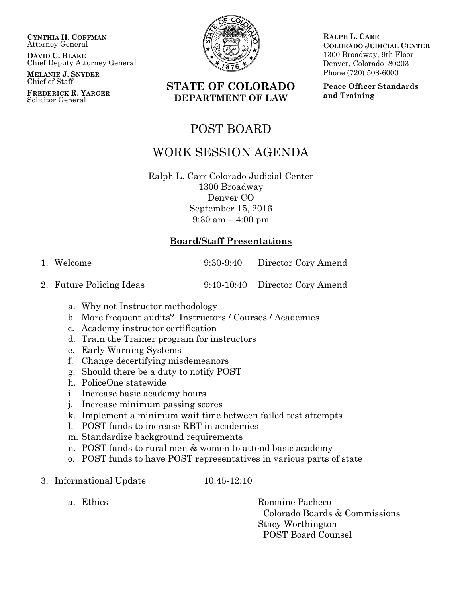**CYNTHIA H. COFFMAN** Attorney General

**DAVID C. BLAKE** Chief Deputy Attorney General

**MELANIE J. SNYDER** Chief of Staff

**FREDERICK R. YARGER** Solicitor General



## **STATE OF COLORADO DEPARTMENT OF LAW**

POST BOARD

# WORK SESSION AGENDA

Ralph L. Carr Colorado Judicial Center 1300 Broadway Denver CO September 15, 2016 9:30 am – 4:00 pm

#### **Board/Staff Presentations**

1. Welcome 9:30-9:40 Director Cory Amend

2. Future Policing Ideas 9:40-10:40 Director Cory Amend

- a. Why not Instructor methodology
- b. More frequent audits? Instructors / Courses / Academies
- c. Academy instructor certification
- d. Train the Trainer program for instructors
- e. Early Warning Systems
- f. Change decertifying misdemeanors
- g. Should there be a duty to notify POST
- h. PoliceOne statewide
- i. Increase basic academy hours
- j. Increase minimum passing scores
- k. Implement a minimum wait time between failed test attempts
- l. POST funds to increase RBT in academies
- m. Standardize background requirements
- n. POST funds to rural men & women to attend basic academy
- o. POST funds to have POST representatives in various parts of state
- 3. Informational Update 10:45-12:10

a. Ethics Romaine Pacheco Colorado Boards & Commissions Stacy Worthington POST Board Counsel

**RALPH L. CARR COLORADO JUDICIAL CENTER** 1300 Broadway, 9th Floor Denver, Colorado 80203 Phone (720) 508-6000

**Peace Officer Standards and Training**